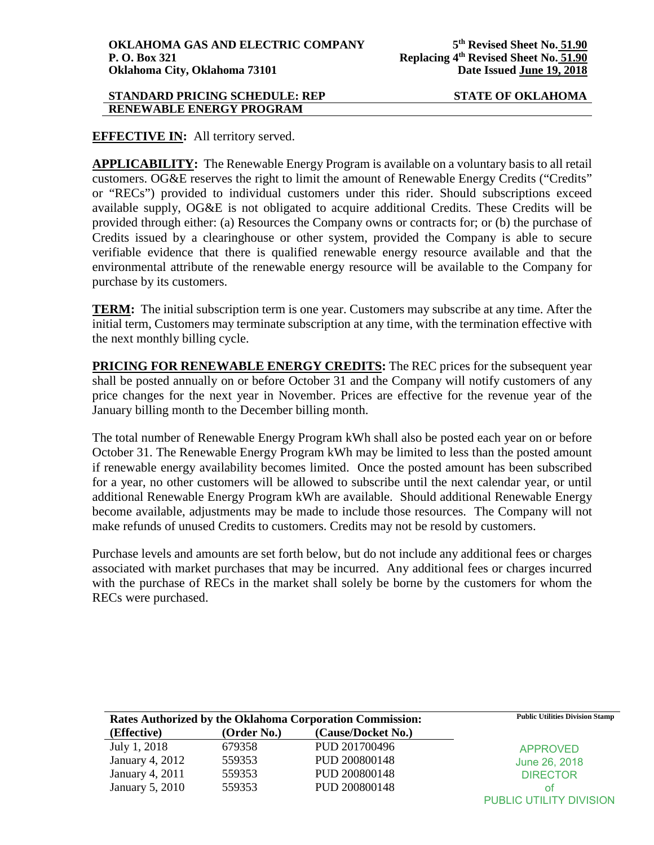### **STANDARD PRICING SCHEDULE: REP STATE OF OKLAHOMA RENEWABLE ENERGY PROGRAM**

**EFFECTIVE IN:** All territory served.

**APPLICABILITY:** The Renewable Energy Program is available on a voluntary basis to all retail customers. OG&E reserves the right to limit the amount of Renewable Energy Credits ("Credits" or "RECs") provided to individual customers under this rider. Should subscriptions exceed available supply, OG&E is not obligated to acquire additional Credits. These Credits will be provided through either: (a) Resources the Company owns or contracts for; or (b) the purchase of Credits issued by a clearinghouse or other system, provided the Company is able to secure verifiable evidence that there is qualified renewable energy resource available and that the environmental attribute of the renewable energy resource will be available to the Company for purchase by its customers.

**TERM:** The initial subscription term is one year. Customers may subscribe at any time. After the initial term, Customers may terminate subscription at any time, with the termination effective with the next monthly billing cycle.

**PRICING FOR RENEWABLE ENERGY CREDITS:** The REC prices for the subsequent year shall be posted annually on or before October 31 and the Company will notify customers of any price changes for the next year in November. Prices are effective for the revenue year of the January billing month to the December billing month.

The total number of Renewable Energy Program kWh shall also be posted each year on or before October 31. The Renewable Energy Program kWh may be limited to less than the posted amount if renewable energy availability becomes limited. Once the posted amount has been subscribed for a year, no other customers will be allowed to subscribe until the next calendar year, or until additional Renewable Energy Program kWh are available. Should additional Renewable Energy become available, adjustments may be made to include those resources. The Company will not make refunds of unused Credits to customers. Credits may not be resold by customers.

Purchase levels and amounts are set forth below, but do not include any additional fees or charges associated with market purchases that may be incurred. Any additional fees or charges incurred with the purchase of RECs in the market shall solely be borne by the customers for whom the RECs were purchased.

| Rates Authorized by the Oklahoma Corporation Commission: |             | <b>Public Utilities Division Stamp</b> |                         |
|----------------------------------------------------------|-------------|----------------------------------------|-------------------------|
| (Effective)                                              | (Order No.) | (Cause/Docket No.)                     |                         |
| July 1, 2018                                             | 679358      | PUD 201700496                          | <b>APPROVED</b>         |
| January 4, 2012                                          | 559353      | PUD 200800148                          | June 26, 2018           |
| January 4, 2011                                          | 559353      | PUD 200800148                          | <b>DIRECTOR</b>         |
| January 5, 2010                                          | 559353      | PUD 200800148                          | ΩŤ                      |
|                                                          |             |                                        | PUBLIC UTILITY DIVISION |